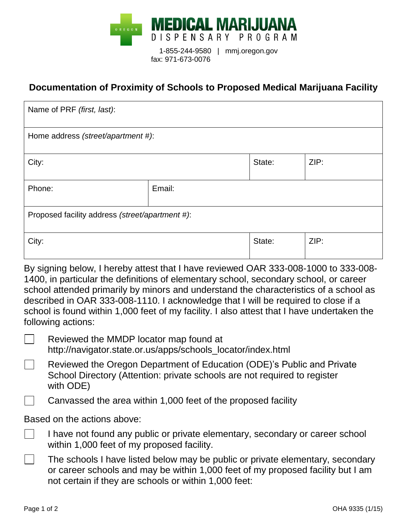

## **Documentation of Proximity of Schools to Proposed Medical Marijuana Facility**

| Name of PRF (first, last):                      |        |        |      |  |  |
|-------------------------------------------------|--------|--------|------|--|--|
| Home address (street/apartment #):              |        |        |      |  |  |
| City:                                           |        | State: | ZIP: |  |  |
| Phone:                                          | Email: |        |      |  |  |
| Proposed facility address (street/apartment #): |        |        |      |  |  |
| City:                                           |        | State: | ZIP: |  |  |

By signing below, I hereby attest that I have reviewed OAR 333-008-1000 to 333-008- 1400, in particular the definitions of elementary school, secondary school, or career school attended primarily by minors and understand the characteristics of a school as described in OAR 333-008-1110. I acknowledge that I will be required to close if a school is found within 1,000 feet of my facility. I also attest that I have undertaken the following actions:

- Reviewed the MMDP locator map found at  $\mathbb{R}^n$ 
	- http://navigator.state.or.us/apps/schools\_locator/index.html
- Reviewed the Oregon Department of Education (ODE)'s Public and Private School Directory (Attention: private schools are not required to register with ODE)
	- Canvassed the area within 1,000 feet of the proposed facility

## Based on the actions above:

- $\mathbb{R}^n$ I have not found any public or private elementary, secondary or career school within 1,000 feet of my proposed facility.
- $\blacksquare$ The schools I have listed below may be public or private elementary, secondary or career schools and may be within 1,000 feet of my proposed facility but I am not certain if they are schools or within 1,000 feet: